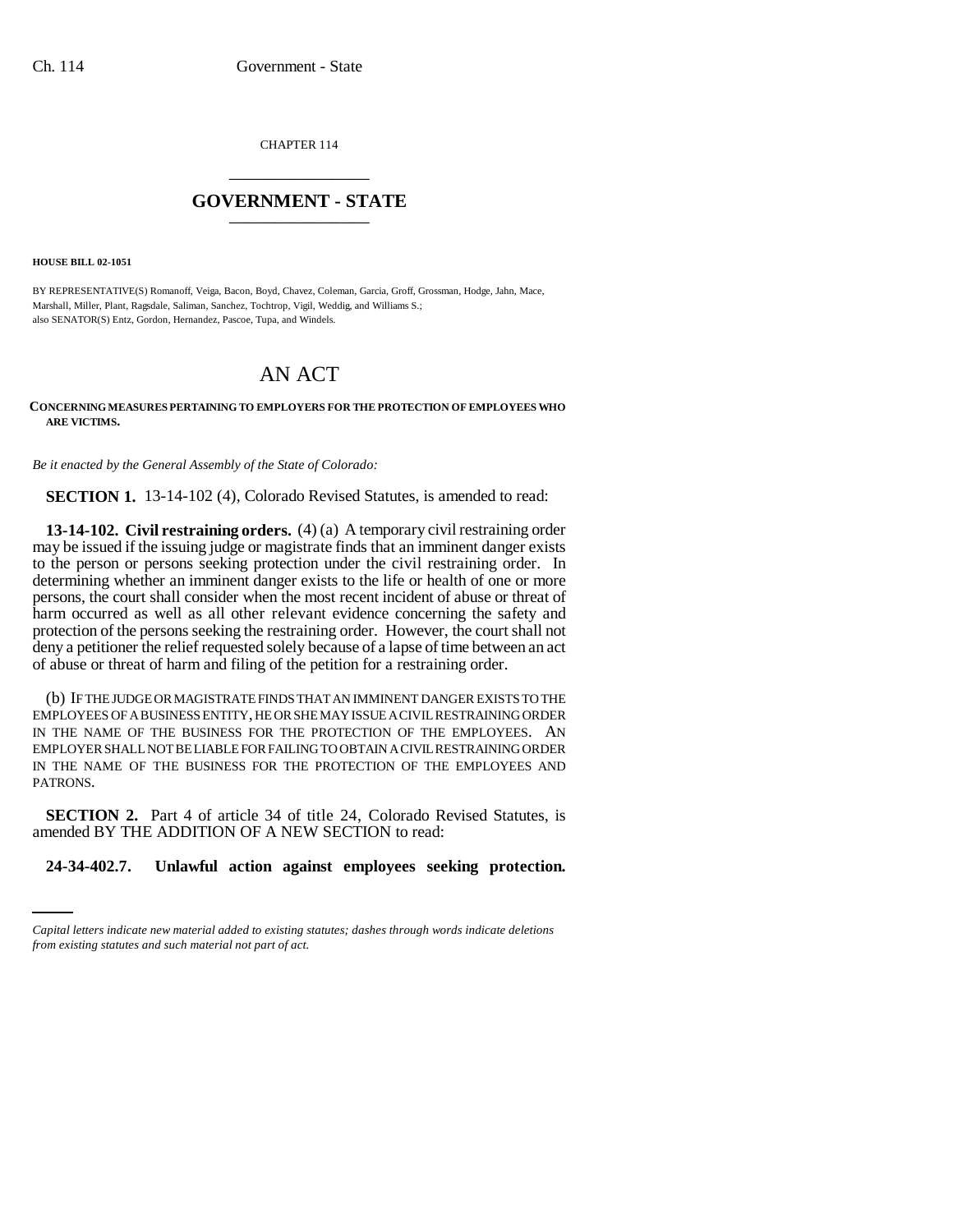CHAPTER 114 \_\_\_\_\_\_\_\_\_\_\_\_\_\_\_

## **GOVERNMENT - STATE** \_\_\_\_\_\_\_\_\_\_\_\_\_\_\_

**HOUSE BILL 02-1051**

BY REPRESENTATIVE(S) Romanoff, Veiga, Bacon, Boyd, Chavez, Coleman, Garcia, Groff, Grossman, Hodge, Jahn, Mace, Marshall, Miller, Plant, Ragsdale, Saliman, Sanchez, Tochtrop, Vigil, Weddig, and Williams S.; also SENATOR(S) Entz, Gordon, Hernandez, Pascoe, Tupa, and Windels.

## AN ACT

## **CONCERNING MEASURES PERTAINING TO EMPLOYERS FOR THE PROTECTION OF EMPLOYEES WHO ARE VICTIMS.**

*Be it enacted by the General Assembly of the State of Colorado:*

**SECTION 1.** 13-14-102 (4), Colorado Revised Statutes, is amended to read:

**13-14-102. Civil restraining orders.** (4) (a) A temporary civil restraining order may be issued if the issuing judge or magistrate finds that an imminent danger exists to the person or persons seeking protection under the civil restraining order. In determining whether an imminent danger exists to the life or health of one or more persons, the court shall consider when the most recent incident of abuse or threat of harm occurred as well as all other relevant evidence concerning the safety and protection of the persons seeking the restraining order. However, the court shall not deny a petitioner the relief requested solely because of a lapse of time between an act of abuse or threat of harm and filing of the petition for a restraining order.

(b) IF THE JUDGE OR MAGISTRATE FINDS THAT AN IMMINENT DANGER EXISTS TO THE EMPLOYEES OF A BUSINESS ENTITY, HE OR SHE MAY ISSUE A CIVIL RESTRAINING ORDER IN THE NAME OF THE BUSINESS FOR THE PROTECTION OF THE EMPLOYEES. AN EMPLOYER SHALL NOT BE LIABLE FOR FAILING TO OBTAIN A CIVIL RESTRAINING ORDER IN THE NAME OF THE BUSINESS FOR THE PROTECTION OF THE EMPLOYEES AND PATRONS.

amended BY THE ADDITION OF A NEW SECTION to read: **SECTION 2.** Part 4 of article 34 of title 24, Colorado Revised Statutes, is

**24-34-402.7. Unlawful action against employees seeking protection.**

*Capital letters indicate new material added to existing statutes; dashes through words indicate deletions from existing statutes and such material not part of act.*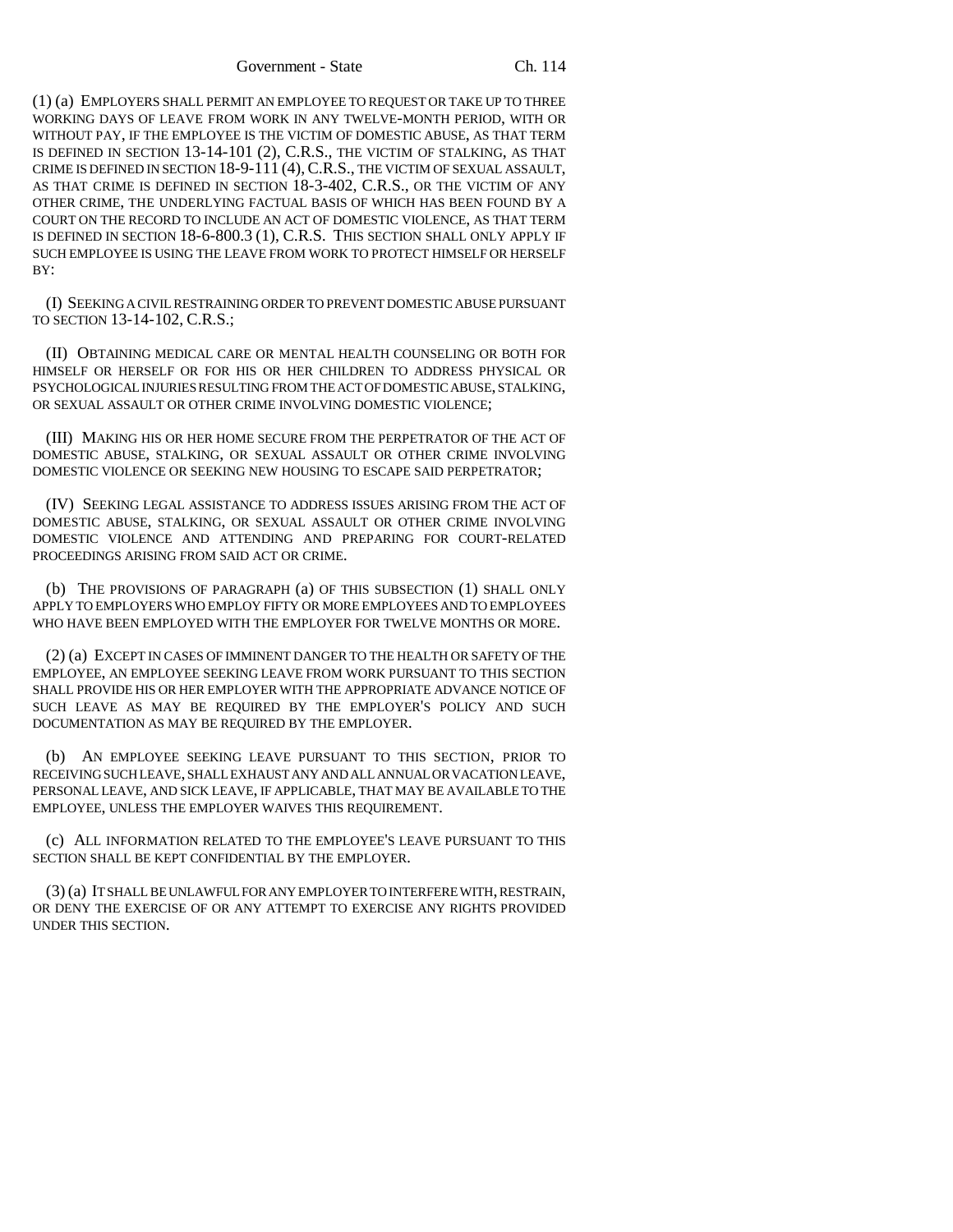Government - State Ch. 114

(1) (a) EMPLOYERS SHALL PERMIT AN EMPLOYEE TO REQUEST OR TAKE UP TO THREE WORKING DAYS OF LEAVE FROM WORK IN ANY TWELVE-MONTH PERIOD, WITH OR WITHOUT PAY, IF THE EMPLOYEE IS THE VICTIM OF DOMESTIC ABUSE, AS THAT TERM IS DEFINED IN SECTION 13-14-101 (2), C.R.S., THE VICTIM OF STALKING, AS THAT CRIME IS DEFINED IN SECTION 18-9-111 (4),C.R.S., THE VICTIM OF SEXUAL ASSAULT, AS THAT CRIME IS DEFINED IN SECTION 18-3-402, C.R.S., OR THE VICTIM OF ANY OTHER CRIME, THE UNDERLYING FACTUAL BASIS OF WHICH HAS BEEN FOUND BY A COURT ON THE RECORD TO INCLUDE AN ACT OF DOMESTIC VIOLENCE, AS THAT TERM IS DEFINED IN SECTION 18-6-800.3 (1), C.R.S. THIS SECTION SHALL ONLY APPLY IF SUCH EMPLOYEE IS USING THE LEAVE FROM WORK TO PROTECT HIMSELF OR HERSELF BY:

(I) SEEKING A CIVIL RESTRAINING ORDER TO PREVENT DOMESTIC ABUSE PURSUANT TO SECTION 13-14-102, C.R.S.;

(II) OBTAINING MEDICAL CARE OR MENTAL HEALTH COUNSELING OR BOTH FOR HIMSELF OR HERSELF OR FOR HIS OR HER CHILDREN TO ADDRESS PHYSICAL OR PSYCHOLOGICAL INJURIES RESULTING FROM THE ACT OF DOMESTIC ABUSE, STALKING, OR SEXUAL ASSAULT OR OTHER CRIME INVOLVING DOMESTIC VIOLENCE;

(III) MAKING HIS OR HER HOME SECURE FROM THE PERPETRATOR OF THE ACT OF DOMESTIC ABUSE, STALKING, OR SEXUAL ASSAULT OR OTHER CRIME INVOLVING DOMESTIC VIOLENCE OR SEEKING NEW HOUSING TO ESCAPE SAID PERPETRATOR;

(IV) SEEKING LEGAL ASSISTANCE TO ADDRESS ISSUES ARISING FROM THE ACT OF DOMESTIC ABUSE, STALKING, OR SEXUAL ASSAULT OR OTHER CRIME INVOLVING DOMESTIC VIOLENCE AND ATTENDING AND PREPARING FOR COURT-RELATED PROCEEDINGS ARISING FROM SAID ACT OR CRIME.

(b) THE PROVISIONS OF PARAGRAPH (a) OF THIS SUBSECTION (1) SHALL ONLY APPLY TO EMPLOYERS WHO EMPLOY FIFTY OR MORE EMPLOYEES AND TO EMPLOYEES WHO HAVE BEEN EMPLOYED WITH THE EMPLOYER FOR TWELVE MONTHS OR MORE.

(2) (a) EXCEPT IN CASES OF IMMINENT DANGER TO THE HEALTH OR SAFETY OF THE EMPLOYEE, AN EMPLOYEE SEEKING LEAVE FROM WORK PURSUANT TO THIS SECTION SHALL PROVIDE HIS OR HER EMPLOYER WITH THE APPROPRIATE ADVANCE NOTICE OF SUCH LEAVE AS MAY BE REQUIRED BY THE EMPLOYER'S POLICY AND SUCH DOCUMENTATION AS MAY BE REQUIRED BY THE EMPLOYER.

(b) AN EMPLOYEE SEEKING LEAVE PURSUANT TO THIS SECTION, PRIOR TO RECEIVING SUCH LEAVE, SHALL EXHAUST ANY AND ALL ANNUAL OR VACATION LEAVE, PERSONAL LEAVE, AND SICK LEAVE, IF APPLICABLE, THAT MAY BE AVAILABLE TO THE EMPLOYEE, UNLESS THE EMPLOYER WAIVES THIS REQUIREMENT.

(c) ALL INFORMATION RELATED TO THE EMPLOYEE'S LEAVE PURSUANT TO THIS SECTION SHALL BE KEPT CONFIDENTIAL BY THE EMPLOYER.

(3) (a) IT SHALL BE UNLAWFUL FOR ANY EMPLOYER TO INTERFERE WITH, RESTRAIN, OR DENY THE EXERCISE OF OR ANY ATTEMPT TO EXERCISE ANY RIGHTS PROVIDED UNDER THIS SECTION.